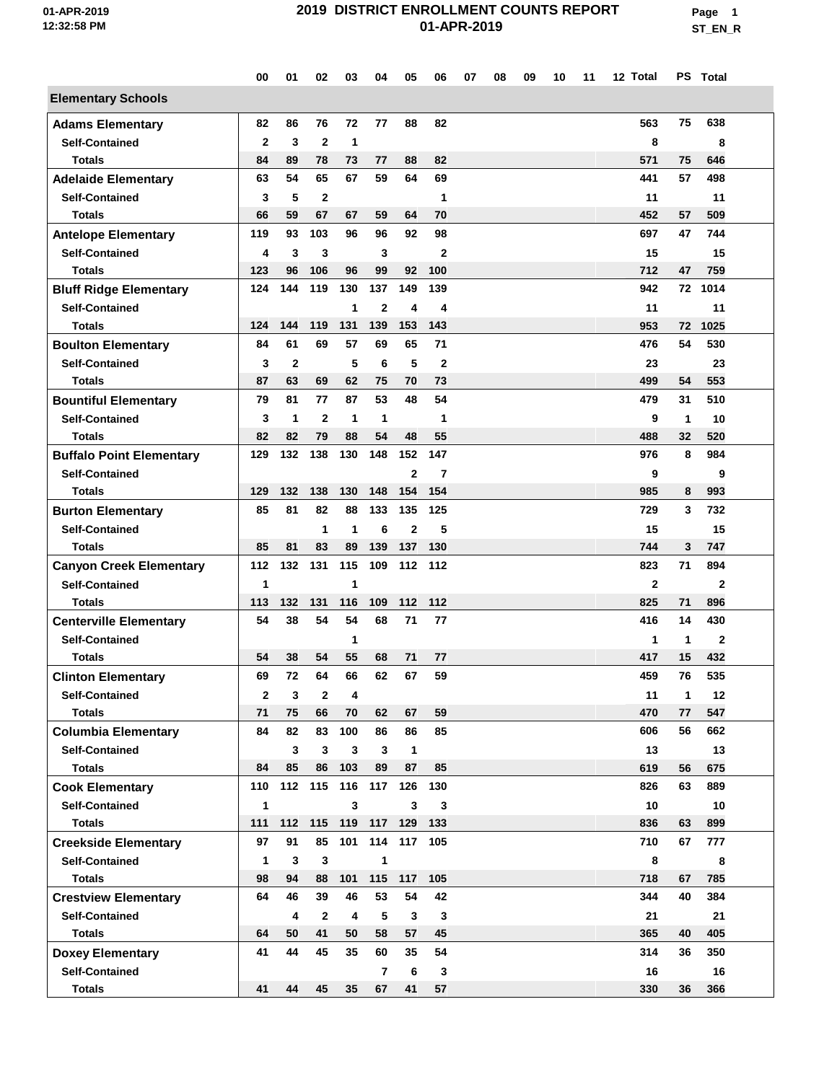**Page 1 ST\_EN\_R**

|                                 | 00           | 01           | 02                      | 03           | 04             | 05             | 06             | 07 | 08 | 09 | 10 | 11 | 12 Total       |    | PS Total     |  |
|---------------------------------|--------------|--------------|-------------------------|--------------|----------------|----------------|----------------|----|----|----|----|----|----------------|----|--------------|--|
| <b>Elementary Schools</b>       |              |              |                         |              |                |                |                |    |    |    |    |    |                |    |              |  |
| <b>Adams Elementary</b>         | 82           | 86           | 76                      | 72           | 77             | 88             | 82             |    |    |    |    |    | 563            | 75 | 638          |  |
| <b>Self-Contained</b>           | $\mathbf{2}$ | 3            | $\mathbf{2}$            | $\mathbf 1$  |                |                |                |    |    |    |    |    | 8              |    | 8            |  |
| <b>Totals</b>                   | 84           | 89           | 78                      | 73           | 77             | 88             | 82             |    |    |    |    |    | 571            | 75 | 646          |  |
| <b>Adelaide Elementary</b>      | 63           | 54           | 65                      | 67           | 59             | 64             | 69             |    |    |    |    |    | 441            | 57 | 498          |  |
| <b>Self-Contained</b>           | 3            | 5            | $\overline{2}$          |              |                |                | 1              |    |    |    |    |    | 11             |    | 11           |  |
| <b>Totals</b>                   | 66           | 59           | 67                      | 67           | 59             | 64             | 70             |    |    |    |    |    | 452            | 57 | 509          |  |
| <b>Antelope Elementary</b>      | 119          | 93           | 103                     | 96           | 96             | 92             | 98             |    |    |    |    |    | 697            | 47 | 744          |  |
| <b>Self-Contained</b>           | 4            | 3            | 3                       |              | 3              |                | $\mathbf{2}$   |    |    |    |    |    | 15             |    | 15           |  |
| <b>Totals</b>                   | 123          | 96           | 106                     | 96           | 99             | 92             | 100            |    |    |    |    |    | 712            | 47 | 759          |  |
| <b>Bluff Ridge Elementary</b>   | 124          | 144          | 119                     | 130          | 137            | 149            | 139            |    |    |    |    |    | 942            | 72 | 1014         |  |
| <b>Self-Contained</b>           |              |              |                         | 1            | $\overline{2}$ | 4              | 4              |    |    |    |    |    | 11             |    | 11           |  |
| <b>Totals</b>                   | 124          | 144          | 119                     | 131          | 139            | 153            | 143            |    |    |    |    |    | 953            | 72 | 1025         |  |
| <b>Boulton Elementary</b>       | 84           | 61           | 69                      | 57           | 69             | 65             | 71             |    |    |    |    |    | 476            | 54 | 530          |  |
| <b>Self-Contained</b>           | 3            | $\mathbf{2}$ |                         | 5            | 6              | 5              | $\mathbf 2$    |    |    |    |    |    | 23             |    | 23           |  |
| <b>Totals</b>                   | 87           | 63           | 69                      | 62           | 75             | 70             | 73             |    |    |    |    |    | 499            | 54 | 553          |  |
| <b>Bountiful Elementary</b>     | 79           | 81           | 77                      | 87           | 53             | 48             | 54             |    |    |    |    |    | 479            | 31 | 510          |  |
| <b>Self-Contained</b>           | 3            | 1            | $\mathbf{2}$            | $\mathbf{1}$ | 1              |                | 1              |    |    |    |    |    | 9              | 1  | 10           |  |
| <b>Totals</b>                   | 82           | 82           | 79                      | 88           | 54             | 48             | 55             |    |    |    |    |    | 488            | 32 | 520          |  |
| <b>Buffalo Point Elementary</b> | 129          | 132          | 138                     | 130          | 148            | 152            | 147            |    |    |    |    |    | 976            | 8  | 984          |  |
| <b>Self-Contained</b>           |              |              |                         |              |                | $\mathbf{2}$   | $\overline{7}$ |    |    |    |    |    | 9              |    | 9            |  |
| <b>Totals</b>                   | 129          | 132          | 138                     | 130          | 148            | 154            | 154            |    |    |    |    |    | 985            | 8  | 993          |  |
| <b>Burton Elementary</b>        | 85           | 81           | 82                      | 88           | 133            | 135            | 125            |    |    |    |    |    | 729            | 3  | 732          |  |
| <b>Self-Contained</b>           |              |              | $\mathbf{1}$            | 1            | 6              | $\overline{2}$ | 5              |    |    |    |    |    | 15             |    | 15           |  |
| <b>Totals</b>                   | 85           | 81           | 83                      | 89           | 139            | 137            | 130            |    |    |    |    |    | 744            | 3  | 747          |  |
| <b>Canyon Creek Elementary</b>  | 112          | 132          | 131                     | 115          | 109            | 112            | 112            |    |    |    |    |    | 823            | 71 | 894          |  |
| <b>Self-Contained</b>           | 1            |              |                         | 1            |                |                |                |    |    |    |    |    | $\overline{2}$ |    | $\mathbf{2}$ |  |
| <b>Totals</b>                   | 113          | 132          | 131                     | 116          | 109            | 112            | 112            |    |    |    |    |    | 825            | 71 | 896          |  |
| <b>Centerville Elementary</b>   | 54           | 38           | 54                      | 54           | 68             | 71             | 77             |    |    |    |    |    | 416            | 14 | 430          |  |
| <b>Self-Contained</b>           |              |              |                         | 1            |                |                |                |    |    |    |    |    | 1              | 1  | $\mathbf{2}$ |  |
| <b>Totals</b>                   | 54           | 38           | 54                      | 55           | 68             | 71             | 77             |    |    |    |    |    | 417            | 15 | 432          |  |
| <b>Clinton Elementary</b>       | 69           | 72           | 64                      | 66           | 62             | 67             | 59             |    |    |    |    |    | 459            | 76 | 535          |  |
| <b>Self-Contained</b>           | $\mathbf{2}$ | 3            | $\mathbf{2}$            | 4            |                |                |                |    |    |    |    |    | 11             | 1  | 12           |  |
| <b>Totals</b>                   | 71           | 75           | 66                      | 70           | 62             | 67             | 59             |    |    |    |    |    | 470            | 77 | 547          |  |
| <b>Columbia Elementary</b>      | 84           | 82           | 83                      | 100          | 86             | 86             | 85             |    |    |    |    |    | 606            | 56 | 662          |  |
| <b>Self-Contained</b>           |              | 3            | $\mathbf{3}$            | 3            | 3              | 1              |                |    |    |    |    |    | 13             |    | 13           |  |
| <b>Totals</b>                   | 84           | 85           | 86                      | 103          | 89             | 87             | 85             |    |    |    |    |    | 619            | 56 | 675          |  |
| <b>Cook Elementary</b>          | 110          | 112          | 115                     | 116          | 117            | 126            | 130            |    |    |    |    |    | 826            | 63 | 889          |  |
| <b>Self-Contained</b>           | $\mathbf{1}$ |              |                         | 3            |                | 3              | 3              |    |    |    |    |    | 10             |    | 10           |  |
| <b>Totals</b>                   | 111          | 112 115      |                         | 119 117      |                | 129            | 133            |    |    |    |    |    | 836            | 63 | 899          |  |
| <b>Creekside Elementary</b>     | 97           | 91           | 85                      | 101          | 114            | 117            | 105            |    |    |    |    |    | 710            | 67 | 777          |  |
| <b>Self-Contained</b>           | 1            | 3            | 3                       |              | 1              |                |                |    |    |    |    |    | 8              |    | 8            |  |
| <b>Totals</b>                   | 98           | 94           | 88                      | 101          | 115            | 117            | 105            |    |    |    |    |    | 718            | 67 | 785          |  |
| <b>Crestview Elementary</b>     | 64           | 46           | 39                      | 46           | 53             | 54             | 42             |    |    |    |    |    | 344            | 40 | 384          |  |
| <b>Self-Contained</b>           |              | 4            | $\overline{\mathbf{2}}$ | 4            | 5              | $\mathbf{3}$   | $\mathbf{3}$   |    |    |    |    |    | 21             |    | 21           |  |
| <b>Totals</b>                   | 64           | 50           | 41                      | 50           | 58             | 57             | 45             |    |    |    |    |    | 365            | 40 | 405          |  |
| <b>Doxey Elementary</b>         | 41           | 44           | 45                      | 35           | 60             | 35             | 54             |    |    |    |    |    | 314            | 36 | 350          |  |
| <b>Self-Contained</b>           |              |              |                         |              | $\overline{7}$ | 6              | 3              |    |    |    |    |    | 16             |    | 16           |  |
| <b>Totals</b>                   | 41           | 44           | 45                      | 35           | 67             | 41             | 57             |    |    |    |    |    | 330            | 36 | 366          |  |
|                                 |              |              |                         |              |                |                |                |    |    |    |    |    |                |    |              |  |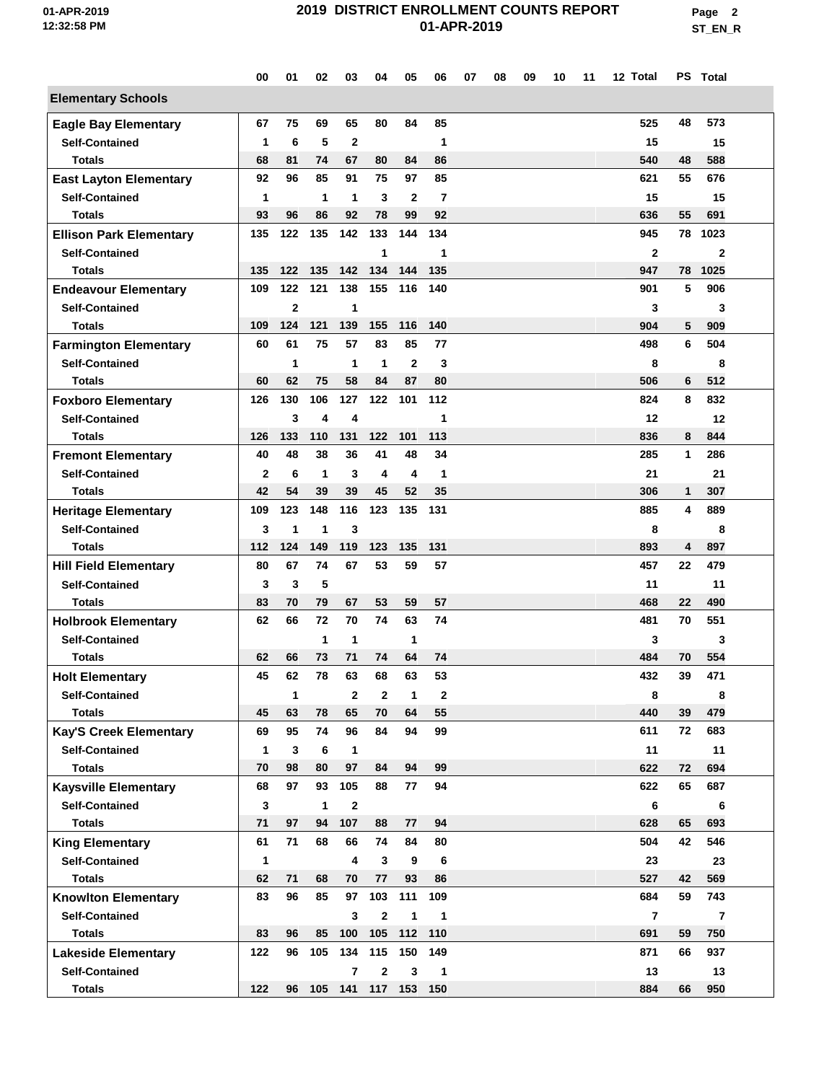**Page 2 ST\_EN\_R**

|                                                       | 00           | 01           | 02                      | 03                     | 04           | 05           | 06             | 07 | 08 | 09 | 10 | 11 | 12 Total       |              | PS Total                |  |
|-------------------------------------------------------|--------------|--------------|-------------------------|------------------------|--------------|--------------|----------------|----|----|----|----|----|----------------|--------------|-------------------------|--|
| <b>Elementary Schools</b>                             |              |              |                         |                        |              |              |                |    |    |    |    |    |                |              |                         |  |
| <b>Eagle Bay Elementary</b>                           | 67           | 75           | 69                      | 65                     | 80           | 84           | 85             |    |    |    |    |    | 525            | 48           | 573                     |  |
| <b>Self-Contained</b>                                 | 1            | 6            | 5                       | $\mathbf{2}$           |              |              | 1              |    |    |    |    |    | 15             |              | 15                      |  |
| <b>Totals</b>                                         | 68           | 81           | 74                      | 67                     | 80           | 84           | 86             |    |    |    |    |    | 540            | 48           | 588                     |  |
| <b>East Layton Elementary</b>                         | 92           | 96           | 85                      | 91                     | 75           | 97           | 85             |    |    |    |    |    | 621            | 55           | 676                     |  |
| <b>Self-Contained</b>                                 | 1            |              | $\mathbf{1}$            | $\mathbf 1$            | 3            | $\mathbf{2}$ | $\overline{7}$ |    |    |    |    |    | 15             |              | 15                      |  |
| Totals                                                | 93           | 96           | 86                      | 92                     | 78           | 99           | 92             |    |    |    |    |    | 636            | 55           | 691                     |  |
| <b>Ellison Park Elementary</b>                        | 135          | 122          | 135                     | 142                    | 133          | 144          | 134            |    |    |    |    |    | 945            | 78           | 1023                    |  |
| <b>Self-Contained</b>                                 |              |              |                         |                        | 1            |              | 1              |    |    |    |    |    | $\overline{2}$ |              | $\mathbf{2}$            |  |
| <b>Totals</b>                                         | 135          | 122          | 135                     | 142                    | 134          | 144          | 135            |    |    |    |    |    | 947            | 78           | 1025                    |  |
| <b>Endeavour Elementary</b>                           | 109          | 122          | 121                     | 138                    | 155          | 116          | 140            |    |    |    |    |    | 901            | 5            | 906                     |  |
| <b>Self-Contained</b>                                 |              | $\mathbf{2}$ |                         | 1                      |              |              |                |    |    |    |    |    | 3              |              | 3                       |  |
| <b>Totals</b>                                         | 109          | 124          | 121                     | 139                    | 155          | 116          | 140            |    |    |    |    |    | 904            | 5            | 909                     |  |
| <b>Farmington Elementary</b>                          | 60           | 61           | 75                      | 57                     | 83           | 85           | 77             |    |    |    |    |    | 498            | 6            | 504                     |  |
| <b>Self-Contained</b>                                 |              | 1            |                         | $\mathbf{1}$           | $\mathbf{1}$ | $\mathbf{2}$ | 3              |    |    |    |    |    | 8              |              | 8                       |  |
| <b>Totals</b>                                         | 60           | 62           | 75                      | 58                     | 84           | 87           | 80             |    |    |    |    |    | 506            | 6            | 512                     |  |
| <b>Foxboro Elementary</b>                             | 126          | 130          | 106                     | 127                    | 122          | 101          | 112            |    |    |    |    |    | 824            | 8            | 832                     |  |
| <b>Self-Contained</b>                                 |              | 3            | $\overline{\mathbf{4}}$ | 4                      |              |              | 1              |    |    |    |    |    | 12             |              | 12                      |  |
| Totals                                                | 126          | 133          | 110                     | 131                    | 122          | 101          | 113            |    |    |    |    |    | 836            | 8            | 844                     |  |
| <b>Fremont Elementary</b>                             | 40           | 48           | 38                      | 36                     | 41           | 48           | 34             |    |    |    |    |    | 285            | $\mathbf{1}$ | 286                     |  |
| <b>Self-Contained</b>                                 | $\mathbf{2}$ | 6            | $\mathbf{1}$            | 3                      | 4            | 4            | 1              |    |    |    |    |    | 21             |              | 21                      |  |
| <b>Totals</b>                                         | 42           | 54           | 39                      | 39                     | 45           | 52           | 35             |    |    |    |    |    | 306            | 1            | 307                     |  |
| <b>Heritage Elementary</b>                            | 109          | 123          | 148                     | 116                    | 123          | 135          | 131            |    |    |    |    |    | 885            | 4            | 889                     |  |
| <b>Self-Contained</b>                                 | 3            | 1            | 1                       | 3                      |              |              |                |    |    |    |    |    | 8              |              | 8                       |  |
| Totals                                                | 112          | 124          | 149                     | 119                    | 123          | 135          | 131            |    |    |    |    |    | 893            | 4            | 897                     |  |
|                                                       | 80           | 67           | 74                      | 67                     | 53           | 59           | 57             |    |    |    |    |    | 457            | 22           | 479                     |  |
| <b>Hill Field Elementary</b><br><b>Self-Contained</b> |              |              | 5                       |                        |              |              |                |    |    |    |    |    |                |              |                         |  |
| <b>Totals</b>                                         | 3<br>83      | 3<br>70      | 79                      | 67                     | 53           | 59           | 57             |    |    |    |    |    | 11<br>468      | 22           | 11<br>490               |  |
|                                                       | 62           | 66           | 72                      | 70                     | 74           | 63           | 74             |    |    |    |    |    | 481            | 70           | 551                     |  |
| <b>Holbrook Elementary</b>                            |              |              |                         |                        |              |              |                |    |    |    |    |    |                |              |                         |  |
| <b>Self-Contained</b>                                 | 62           | 66           | 1<br>73                 | 1<br>71                | 74           | 1<br>64      | 74             |    |    |    |    |    | 3<br>484       | 70           | 3<br>554                |  |
| Totals                                                | 45           | 62           | 78                      | 63                     | 68           | 63           | 53             |    |    |    |    |    | 432            | 39           | 471                     |  |
| <b>Holt Elementary</b>                                |              |              |                         |                        |              |              |                |    |    |    |    |    |                |              |                         |  |
| <b>Self-Contained</b>                                 |              | 1            |                         | $\mathbf{2}$           | $\mathbf{2}$ | 1            | 2              |    |    |    |    |    | 8              |              | 8                       |  |
| <b>Totals</b>                                         | 45           | 63           | 78                      | 65                     | 70           | 64           | 55             |    |    |    |    |    | 440            | 39           | 479                     |  |
| Kay'S Creek Elementary                                | 69           | 95           | 74                      | 96                     | 84           | 94           | 99             |    |    |    |    |    | 611            | 72           | 683                     |  |
| <b>Self-Contained</b>                                 | 1            | 3<br>98      | 6                       | $\mathbf{1}$<br>97     |              | 94           |                |    |    |    |    |    | 11             |              | 11                      |  |
| Totals                                                | 70           |              | 80                      |                        | 84           |              | 99             |    |    |    |    |    | 622            | 72           | 694                     |  |
| <b>Kaysville Elementary</b>                           | 68           | 97           | 93                      | 105                    | 88           | 77           | 94             |    |    |    |    |    | 622            | 65           | 687                     |  |
| <b>Self-Contained</b>                                 | 3            |              | $\mathbf{1}$            | $\mathbf{2}$           |              |              |                |    |    |    |    |    | 6              |              | 6                       |  |
| <b>Totals</b>                                         | 71           | 97           | 94                      | 107                    | 88           | 77           | 94             |    |    |    |    |    | 628            | 65           | 693                     |  |
| <b>King Elementary</b>                                | 61           | 71           | 68                      | 66                     | 74           | 84           | 80             |    |    |    |    |    | 504            | 42           | 546                     |  |
| <b>Self-Contained</b>                                 | $\mathbf{1}$ |              |                         | 4                      | $\mathbf{3}$ | 9            | 6              |    |    |    |    |    | 23             |              | 23                      |  |
| <b>Totals</b>                                         | 62           | 71           | 68                      | 70                     | 77           | 93           | 86             |    |    |    |    |    | 527            | 42           | 569                     |  |
| <b>Knowlton Elementary</b>                            | 83           | 96           | 85                      | 97                     | 103          | 111          | 109            |    |    |    |    |    | 684            | 59           | 743                     |  |
| <b>Self-Contained</b>                                 |              |              |                         | 3                      | $\mathbf{2}$ | $\mathbf{1}$ | 1              |    |    |    |    |    | $\overline{7}$ |              | $\overline{\mathbf{r}}$ |  |
| <b>Totals</b>                                         | 83           | 96           | 85                      | 100                    | 105          | 112          | 110            |    |    |    |    |    | 691            | 59           | 750                     |  |
| <b>Lakeside Elementary</b>                            | 122          | 96           | 105                     | 134                    | 115          | 150          | 149            |    |    |    |    |    | 871            | 66           | 937                     |  |
| <b>Self-Contained</b>                                 |              |              |                         | $\overline{7}$         | $\mathbf{2}$ | 3            | 1              |    |    |    |    |    | 13             |              | 13                      |  |
| <b>Totals</b>                                         | 122          |              |                         | 96 105 141 117 153 150 |              |              |                |    |    |    |    |    | 884            | 66           | 950                     |  |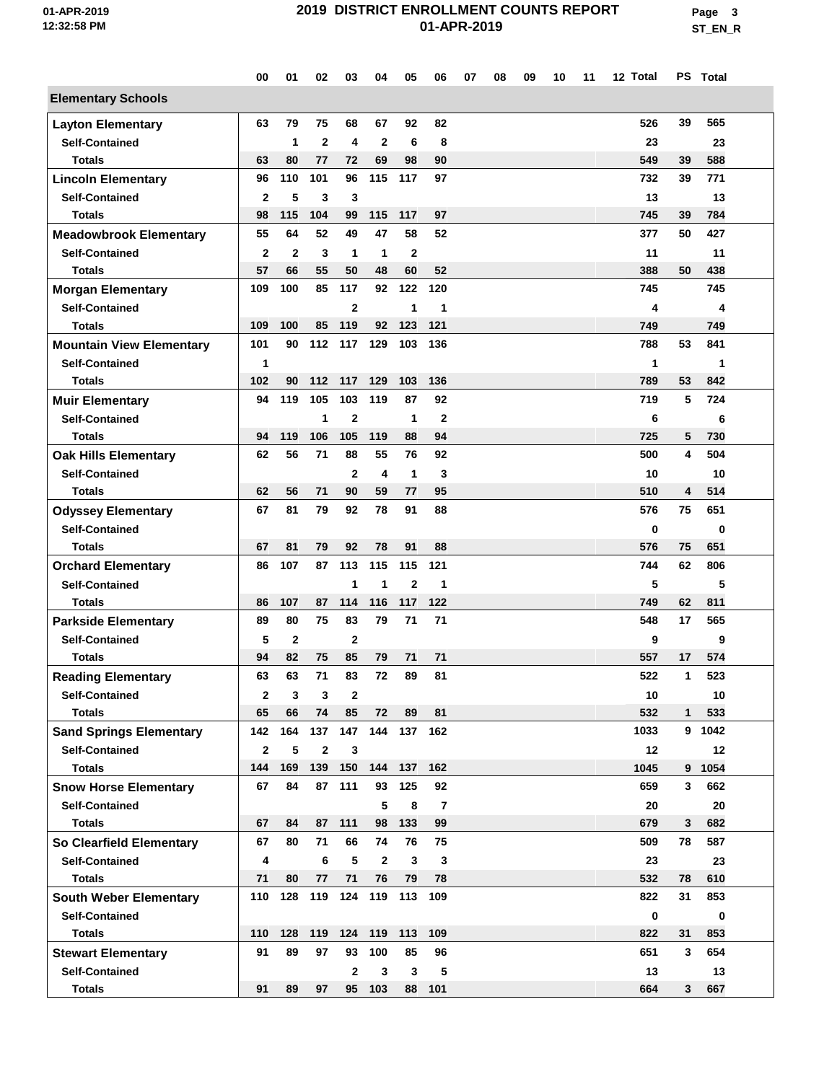**Page 3 ST\_EN\_R**

|                                 | 00           | 01           | 02           | 03             | 04           | 05             | 06             | 07 | 08 | 09 | 10 | 11 | 12 Total |                | PS Total |  |
|---------------------------------|--------------|--------------|--------------|----------------|--------------|----------------|----------------|----|----|----|----|----|----------|----------------|----------|--|
| <b>Elementary Schools</b>       |              |              |              |                |              |                |                |    |    |    |    |    |          |                |          |  |
| <b>Layton Elementary</b>        | 63           | 79           | 75           | 68             | 67           | 92             | 82             |    |    |    |    |    | 526      | 39             | 565      |  |
| <b>Self-Contained</b>           |              | 1            | $\mathbf{2}$ | 4              | $\mathbf{2}$ | 6              | 8              |    |    |    |    |    | 23       |                | 23       |  |
| <b>Totals</b>                   | 63           | 80           | 77           | 72             | 69           | 98             | 90             |    |    |    |    |    | 549      | 39             | 588      |  |
| <b>Lincoln Elementary</b>       | 96           | 110          | 101          | 96             | 115          | 117            | 97             |    |    |    |    |    | 732      | 39             | 771      |  |
| <b>Self-Contained</b>           | $\mathbf{2}$ | 5            | 3            | 3              |              |                |                |    |    |    |    |    | 13       |                | 13       |  |
| <b>Totals</b>                   | 98           | 115          | 104          | 99             | 115          | 117            | 97             |    |    |    |    |    | 745      | 39             | 784      |  |
| <b>Meadowbrook Elementary</b>   | 55           | 64           | 52           | 49             | 47           | 58             | 52             |    |    |    |    |    | 377      | 50             | 427      |  |
| <b>Self-Contained</b>           | $\mathbf{2}$ | $\mathbf{2}$ | 3            | 1              | 1            | $\mathbf{2}$   |                |    |    |    |    |    | 11       |                | 11       |  |
| <b>Totals</b>                   | 57           | 66           | 55           | 50             | 48           | 60             | 52             |    |    |    |    |    | 388      | 50             | 438      |  |
| <b>Morgan Elementary</b>        | 109          | 100          | 85           | 117            | 92           | 122            | 120            |    |    |    |    |    | 745      |                | 745      |  |
| <b>Self-Contained</b>           |              |              |              | $\overline{2}$ |              | 1              | 1              |    |    |    |    |    | 4        |                | 4        |  |
| <b>Totals</b>                   | 109          | 100          | 85           | 119            | 92           | 123            | 121            |    |    |    |    |    | 749      |                | 749      |  |
| <b>Mountain View Elementary</b> | 101          | 90           | 112          | 117            | 129          | 103            | 136            |    |    |    |    |    | 788      | 53             | 841      |  |
| <b>Self-Contained</b>           | 1            |              |              |                |              |                |                |    |    |    |    |    | 1        |                | 1        |  |
| <b>Totals</b>                   | 102          | 90           | 112          | 117            | 129          | 103            | 136            |    |    |    |    |    | 789      | 53             | 842      |  |
| <b>Muir Elementary</b>          | 94           | 119          | 105          | 103            | 119          | 87             | 92             |    |    |    |    |    | 719      | 5              | 724      |  |
| <b>Self-Contained</b>           |              |              | 1            | $\overline{2}$ |              | 1              | $\mathbf 2$    |    |    |    |    |    | 6        |                | 6        |  |
| <b>Totals</b>                   | 94           | 119          | 106          | 105            | 119          | 88             | 94             |    |    |    |    |    | 725      | 5              | 730      |  |
| <b>Oak Hills Elementary</b>     | 62           | 56           | 71           | 88             | 55           | 76             | 92             |    |    |    |    |    | 500      | 4              | 504      |  |
| <b>Self-Contained</b>           |              |              |              | $\mathbf{2}$   | 4            | 1              | 3              |    |    |    |    |    | 10       |                | 10       |  |
| <b>Totals</b>                   | 62           | 56           | 71           | 90             | 59           | 77             | 95             |    |    |    |    |    | 510      | 4              | 514      |  |
| <b>Odyssey Elementary</b>       | 67           | 81           | 79           | 92             | 78           | 91             | 88             |    |    |    |    |    | 576      | 75             | 651      |  |
| <b>Self-Contained</b>           |              |              |              |                |              |                |                |    |    |    |    |    | 0        |                | 0        |  |
| <b>Totals</b>                   | 67           | 81           | 79           | 92             | 78           | 91             | 88             |    |    |    |    |    | 576      | 75             | 651      |  |
| <b>Orchard Elementary</b>       | 86           | 107          | 87           | 113            | 115          | 115            | 121            |    |    |    |    |    | 744      | 62             | 806      |  |
| <b>Self-Contained</b>           |              |              |              | 1              | 1            | $\overline{2}$ | 1              |    |    |    |    |    | 5        |                | 5        |  |
| <b>Totals</b>                   | 86           | 107          | 87           | 114            | 116          | 117            | 122            |    |    |    |    |    | 749      | 62             | 811      |  |
| <b>Parkside Elementary</b>      | 89           | 80           | 75           | 83             | 79           | 71             | 71             |    |    |    |    |    | 548      | 17             | 565      |  |
| <b>Self-Contained</b>           | 5            | $\mathbf{2}$ |              | $\overline{2}$ |              |                |                |    |    |    |    |    | 9        |                | 9        |  |
| <b>Totals</b>                   | 94           | 82           | 75           | 85             | 79           | 71             | 71             |    |    |    |    |    | 557      | 17             | 574      |  |
| <b>Reading Elementary</b>       | 63           | 63           | 71           | 83             | 72           | 89             | 81             |    |    |    |    |    | 522      | 1              | 523      |  |
| <b>Self-Contained</b>           | $\mathbf{2}$ | 3            | 3            | $\mathbf{2}$   |              |                |                |    |    |    |    |    | 10       |                | 10       |  |
| <b>Totals</b>                   | 65           | 66           | 74           | 85             | 72           | 89             | 81             |    |    |    |    |    | 532      | 1              | 533      |  |
| <b>Sand Springs Elementary</b>  | 142          | 164          | 137          | 147            |              | 144 137        | 162            |    |    |    |    |    | 1033     |                | 9 1042   |  |
| <b>Self-Contained</b>           | $\mathbf{2}$ | 5            | $\mathbf{2}$ | 3              |              |                |                |    |    |    |    |    | 12       |                | 12       |  |
| <b>Totals</b>                   | 144          | 169          | 139          | 150            | 144          | 137            | 162            |    |    |    |    |    | 1045     |                | 9 1054   |  |
| <b>Snow Horse Elementary</b>    | 67           | 84           | 87           | 111            | 93           | 125            | 92             |    |    |    |    |    | 659      | $\mathbf{3}$   | 662      |  |
| <b>Self-Contained</b>           |              |              |              |                | 5            | 8              | $\overline{7}$ |    |    |    |    |    | 20       |                | 20       |  |
| <b>Totals</b>                   | 67           | 84           |              | 87 111         | 98           | 133            | 99             |    |    |    |    |    | 679      | 3              | 682      |  |
| So Clearfield Elementary        | 67           | 80           | 71           | 66             | 74           | 76             | 75             |    |    |    |    |    | 509      | 78             | 587      |  |
| <b>Self-Contained</b>           | 4            |              | 6            | 5              | $\mathbf{2}$ | 3              | $\mathbf{3}$   |    |    |    |    |    | 23       |                | 23       |  |
| <b>Totals</b>                   | 71           | 80           | 77           | 71             | 76           | 79             | 78             |    |    |    |    |    | 532      | 78             | 610      |  |
| <b>South Weber Elementary</b>   | 110          | 128          | 119          | 124            | 119          | 113            | 109            |    |    |    |    |    | 822      | 31             | 853      |  |
| <b>Self-Contained</b>           |              |              |              |                |              |                |                |    |    |    |    |    | 0        |                | 0        |  |
| Totals                          | 110          | 128          | 119          |                | 124 119      | 113            | 109            |    |    |    |    |    | 822      | 31             | 853      |  |
| <b>Stewart Elementary</b>       | 91           | 89           | 97           | 93             | 100          | 85             | 96             |    |    |    |    |    | 651      | 3              | 654      |  |
| <b>Self-Contained</b>           |              |              |              | $\mathbf{2}$   | $\mathbf{3}$ | 3              | 5              |    |    |    |    |    | 13       |                | 13       |  |
| <b>Totals</b>                   | 91           | 89           | 97           | 95             | 103          | 88             | 101            |    |    |    |    |    | 664      | 3 <sup>1</sup> | 667      |  |
|                                 |              |              |              |                |              |                |                |    |    |    |    |    |          |                |          |  |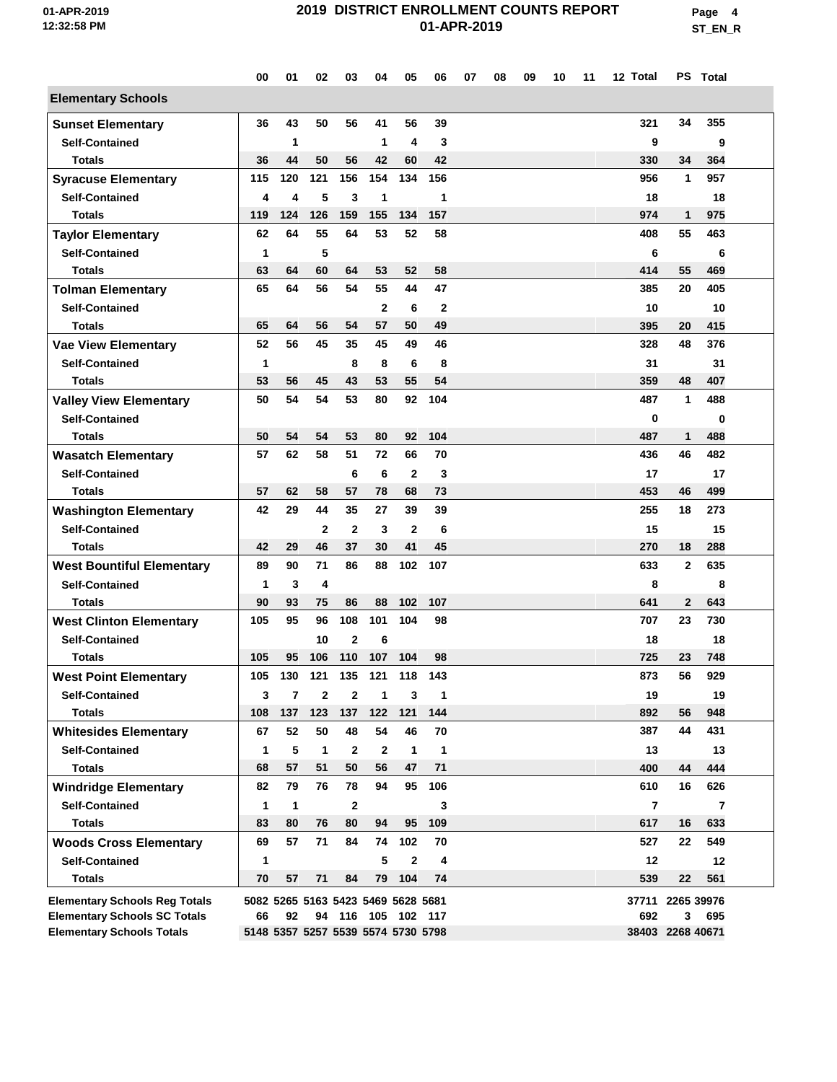**Page 4 ST\_EN\_R**

|                                                    | 00                                 | 01                      | 02                                 | 03             | 04                 | 05                 | 06           | 07 | 08 | 09 | 10 | 11 | 12 Total         |              | PS Total                |  |
|----------------------------------------------------|------------------------------------|-------------------------|------------------------------------|----------------|--------------------|--------------------|--------------|----|----|----|----|----|------------------|--------------|-------------------------|--|
| <b>Elementary Schools</b>                          |                                    |                         |                                    |                |                    |                    |              |    |    |    |    |    |                  |              |                         |  |
| <b>Sunset Elementary</b>                           | 36                                 | 43                      | 50                                 | 56             | 41                 | 56                 | 39           |    |    |    |    |    | 321              | 34           | 355                     |  |
| <b>Self-Contained</b>                              |                                    | 1                       |                                    |                | 1                  | 4                  | 3            |    |    |    |    |    | 9                |              | 9                       |  |
| <b>Totals</b>                                      | 36                                 | 44                      | 50                                 | 56             | 42                 | 60                 | 42           |    |    |    |    |    | 330              | 34           | 364                     |  |
| <b>Syracuse Elementary</b>                         | 115                                | 120                     | 121                                | 156            | 154                | 134                | 156          |    |    |    |    |    | 956              | 1            | 957                     |  |
| <b>Self-Contained</b>                              | 4                                  | 4                       | 5                                  | 3              | 1                  |                    | 1            |    |    |    |    |    | 18               |              | 18                      |  |
| <b>Totals</b>                                      | 119                                | 124                     | 126                                | 159            | 155                | 134                | 157          |    |    |    |    |    | 974              | 1            | 975                     |  |
| <b>Taylor Elementary</b>                           | 62                                 | 64                      | 55                                 | 64             | 53                 | 52                 | 58           |    |    |    |    |    | 408              | 55           | 463                     |  |
| <b>Self-Contained</b>                              | 1                                  |                         | 5                                  |                |                    |                    |              |    |    |    |    |    | 6                |              | 6                       |  |
| <b>Totals</b>                                      | 63                                 | 64                      | 60                                 | 64             | 53                 | 52                 | 58           |    |    |    |    |    | 414              | 55           | 469                     |  |
| <b>Tolman Elementary</b>                           | 65                                 | 64                      | 56                                 | 54             | 55                 | 44                 | 47           |    |    |    |    |    | 385              | 20           | 405                     |  |
| <b>Self-Contained</b>                              |                                    |                         |                                    |                | $\mathbf{2}$       | 6                  | $\mathbf{2}$ |    |    |    |    |    | 10               |              | 10                      |  |
| <b>Totals</b>                                      | 65                                 | 64                      | 56                                 | 54             | 57                 | 50                 | 49           |    |    |    |    |    | 395              | 20           | 415                     |  |
| <b>Vae View Elementary</b>                         | 52                                 | 56                      | 45                                 | 35             | 45                 | 49                 | 46           |    |    |    |    |    | 328              | 48           | 376                     |  |
| <b>Self-Contained</b>                              | 1                                  |                         |                                    | 8              | 8                  | 6                  | 8            |    |    |    |    |    | 31               |              | 31                      |  |
| <b>Totals</b>                                      | 53                                 | 56                      | 45                                 | 43             | 53                 | 55                 | 54           |    |    |    |    |    | 359              | 48           | 407                     |  |
| <b>Valley View Elementary</b>                      | 50                                 | 54                      | 54                                 | 53             | 80                 | 92                 | 104          |    |    |    |    |    | 487              | 1            | 488                     |  |
| <b>Self-Contained</b>                              |                                    |                         |                                    |                |                    |                    | 104          |    |    |    |    |    | $\mathbf 0$      |              | 0                       |  |
| <b>Totals</b>                                      | 50<br>57                           | 54<br>62                | 54<br>58                           | 53<br>51       | 80<br>72           | 92<br>66           | 70           |    |    |    |    |    | 487<br>436       | 1<br>46      | 488<br>482              |  |
| <b>Wasatch Elementary</b><br><b>Self-Contained</b> |                                    |                         |                                    |                |                    |                    |              |    |    |    |    |    |                  |              |                         |  |
| <b>Totals</b>                                      | 57                                 | 62                      | 58                                 | 6<br>57        | 6<br>78            | $\mathbf{2}$<br>68 | 3<br>73      |    |    |    |    |    | 17<br>453        | 46           | 17<br>499               |  |
| <b>Washington Elementary</b>                       | 42                                 | 29                      | 44                                 | 35             | 27                 | 39                 | 39           |    |    |    |    |    | 255              | 18           | 273                     |  |
| <b>Self-Contained</b>                              |                                    |                         | $\mathbf{2}$                       | $\overline{2}$ | 3                  | $\overline{2}$     | 6            |    |    |    |    |    | 15               |              | 15                      |  |
| <b>Totals</b>                                      | 42                                 | 29                      | 46                                 | 37             | 30                 | 41                 | 45           |    |    |    |    |    | 270              | 18           | 288                     |  |
| <b>West Bountiful Elementary</b>                   | 89                                 | 90                      | 71                                 | 86             | 88                 | 102                | 107          |    |    |    |    |    | 633              | $\mathbf{2}$ | 635                     |  |
| <b>Self-Contained</b>                              | 1                                  | 3                       | 4                                  |                |                    |                    |              |    |    |    |    |    | 8                |              | 8                       |  |
| <b>Totals</b>                                      | 90                                 | 93                      | 75                                 | 86             | 88                 | 102                | 107          |    |    |    |    |    | 641              | $\mathbf{2}$ | 643                     |  |
| <b>West Clinton Elementary</b>                     | 105                                | 95                      | 96                                 | 108            | 101                | 104                | 98           |    |    |    |    |    | 707              | 23           | 730                     |  |
| <b>Self-Contained</b>                              |                                    |                         | 10                                 | $\mathbf{2}$   | 6                  |                    |              |    |    |    |    |    | 18               |              | 18                      |  |
| <b>Totals</b>                                      | 105                                | 95                      | 106                                | 110            | 107                | 104                | 98           |    |    |    |    |    | 725              | 23           | 748                     |  |
| <b>West Point Elementary</b>                       | 105                                | 130                     | 121                                | 135            | 121                | 118                | 143          |    |    |    |    |    | 873              | 56           | 929                     |  |
| <b>Self-Contained</b>                              | 3                                  | $\overline{\mathbf{r}}$ | $\mathbf{2}$                       | $\mathbf{2}$   | 1                  | 3                  | $\mathbf{1}$ |    |    |    |    |    | 19               |              | 19                      |  |
| <b>Totals</b>                                      | 108                                | 137                     | 123                                | 137            | 122                | 121                | 144          |    |    |    |    |    | 892              | 56           | 948                     |  |
| <b>Whitesides Elementary</b>                       | 67                                 | 52                      | 50                                 | 48             | 54                 | 46                 | 70           |    |    |    |    |    | 387              | 44           | 431                     |  |
| <b>Self-Contained</b>                              | 1                                  | 5                       | $\mathbf{1}$                       | $\mathbf{2}$   | $\mathbf{2}$       | $\mathbf{1}$       | $\mathbf{1}$ |    |    |    |    |    | 13               |              | 13                      |  |
| <b>Totals</b>                                      | 68                                 | 57                      | 51                                 | 50             | 56                 | 47                 | 71           |    |    |    |    |    | 400              | 44           | 444                     |  |
| <b>Windridge Elementary</b>                        | 82                                 | 79                      | 76                                 | 78             | 94                 | 95                 | 106          |    |    |    |    |    | 610              | 16           | 626                     |  |
| <b>Self-Contained</b>                              | $\mathbf{1}$                       | $\mathbf{1}$            |                                    | $\mathbf{2}$   |                    |                    | 3            |    |    |    |    |    | $\overline{7}$   |              | $\overline{\mathbf{r}}$ |  |
| <b>Totals</b>                                      | 83                                 | 80                      | 76                                 | 80             | 94                 | 95                 | 109          |    |    |    |    |    | 617              | 16           | 633                     |  |
| <b>Woods Cross Elementary</b>                      | 69                                 | 57                      | 71                                 | 84             | 74                 | 102                | 70           |    |    |    |    |    | 527              | 22           | 549                     |  |
| <b>Self-Contained</b>                              | 1                                  |                         |                                    |                | 5                  | $\mathbf{2}$       | 4            |    |    |    |    |    | 12               |              | 12                      |  |
| <b>Totals</b>                                      | 70                                 | 57                      | 71                                 | 84             | 79                 | 104                | 74           |    |    |    |    |    | 539              | 22           | 561                     |  |
| <b>Elementary Schools Reg Totals</b>               |                                    |                         | 5082 5265 5163 5423 5469 5628 5681 |                |                    |                    |              |    |    |    |    |    | 37711 2265 39976 |              |                         |  |
| <b>Elementary Schools SC Totals</b>                | 66                                 | 92                      |                                    |                | 94 116 105 102 117 |                    |              |    |    |    |    |    | 692              | 3            | 695                     |  |
| <b>Elementary Schools Totals</b>                   | 5148 5357 5257 5539 5574 5730 5798 |                         |                                    |                |                    |                    |              |    |    |    |    |    | 38403 2268 40671 |              |                         |  |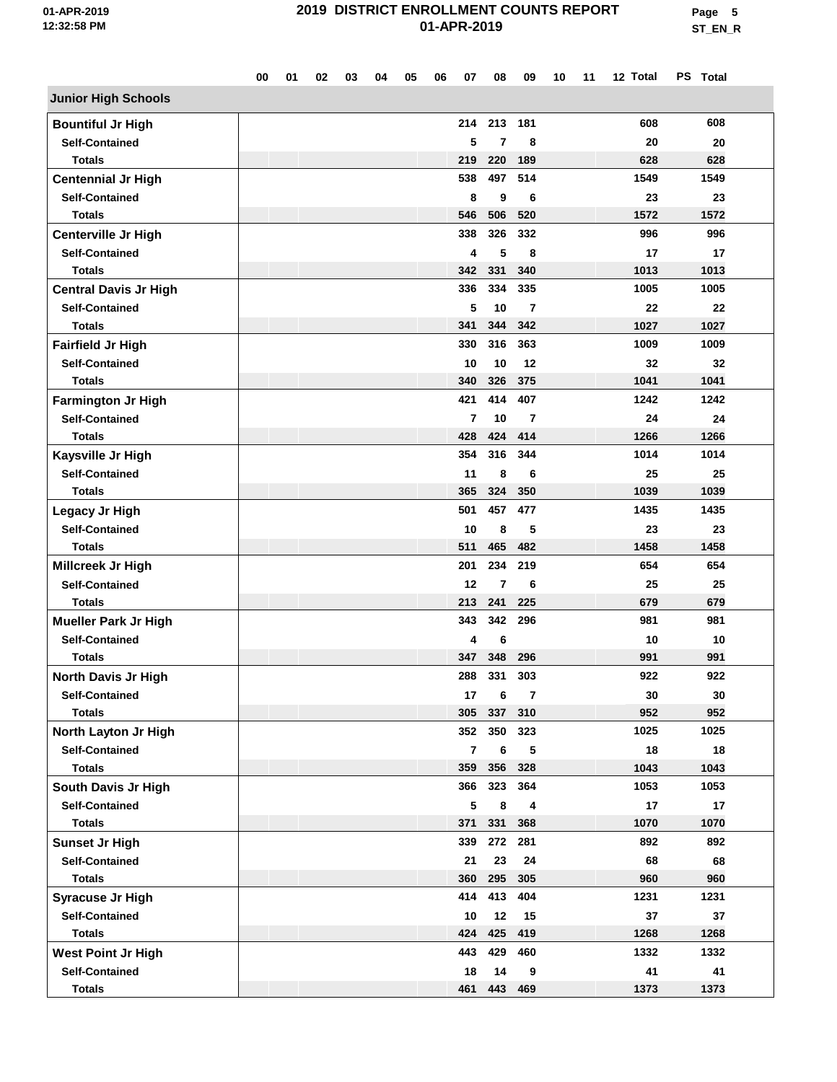**Page 5 ST\_EN\_R**

|                                                      | 00 | 01 | 02 | 03 | 04 | 05 | 06 | 07                      | 08             | 09             | 10 | 11 | 12 Total    | PS Total   |  |
|------------------------------------------------------|----|----|----|----|----|----|----|-------------------------|----------------|----------------|----|----|-------------|------------|--|
| <b>Junior High Schools</b>                           |    |    |    |    |    |    |    |                         |                |                |    |    |             |            |  |
| <b>Bountiful Jr High</b>                             |    |    |    |    |    |    |    | 214                     | 213            | 181            |    |    | 608         | 608        |  |
| <b>Self-Contained</b>                                |    |    |    |    |    |    |    | 5                       | 7              | 8              |    |    | 20          | 20         |  |
| Totals                                               |    |    |    |    |    |    |    | 219                     | 220            | 189            |    |    | 628         | 628        |  |
| <b>Centennial Jr High</b>                            |    |    |    |    |    |    |    | 538                     | 497            | 514            |    |    | 1549        | 1549       |  |
| <b>Self-Contained</b>                                |    |    |    |    |    |    |    | 8                       | 9              | 6              |    |    | 23          | 23         |  |
| <b>Totals</b>                                        |    |    |    |    |    |    |    | 546                     | 506            | 520            |    |    | 1572        | 1572       |  |
| <b>Centerville Jr High</b>                           |    |    |    |    |    |    |    | 338                     | 326            | 332            |    |    | 996         | 996        |  |
| <b>Self-Contained</b>                                |    |    |    |    |    |    |    | 4                       | 5              | 8              |    |    | 17          | 17         |  |
| <b>Totals</b>                                        |    |    |    |    |    |    |    | 342                     | 331            | 340            |    |    | 1013        | 1013       |  |
| <b>Central Davis Jr High</b>                         |    |    |    |    |    |    |    | 336                     | 334            | 335            |    |    | 1005        | 1005       |  |
| <b>Self-Contained</b>                                |    |    |    |    |    |    |    | 5                       | 10             | 7              |    |    | 22          | 22         |  |
| <b>Totals</b>                                        |    |    |    |    |    |    |    | 341                     | 344            | 342            |    |    | 1027        | 1027       |  |
| Fairfield Jr High                                    |    |    |    |    |    |    |    | 330                     | 316            | 363            |    |    | 1009        | 1009       |  |
| <b>Self-Contained</b>                                |    |    |    |    |    |    |    | 10                      | 10             | 12             |    |    | 32          | 32         |  |
| <b>Totals</b>                                        |    |    |    |    |    |    |    | 340                     | 326            | 375            |    |    | 1041        | 1041       |  |
| <b>Farmington Jr High</b>                            |    |    |    |    |    |    |    | 421                     | 414            | 407            |    |    | 1242        | 1242       |  |
| <b>Self-Contained</b>                                |    |    |    |    |    |    |    | 7                       | 10             | 7              |    |    | 24          | 24         |  |
| <b>Totals</b>                                        |    |    |    |    |    |    |    | 428                     | 424            | 414            |    |    | 1266        | 1266       |  |
| Kaysville Jr High                                    |    |    |    |    |    |    |    | 354                     | 316            | 344            |    |    | 1014        | 1014       |  |
| <b>Self-Contained</b>                                |    |    |    |    |    |    |    | 11                      | 8              | 6              |    |    | 25          | 25         |  |
| <b>Totals</b>                                        |    |    |    |    |    |    |    | 365                     | 324            | 350            |    |    | 1039        | 1039       |  |
| Legacy Jr High                                       |    |    |    |    |    |    |    | 501                     | 457            | 477            |    |    | 1435        | 1435       |  |
| <b>Self-Contained</b>                                |    |    |    |    |    |    |    | 10                      | 8              | 5              |    |    | 23          | 23         |  |
| <b>Totals</b>                                        |    |    |    |    |    |    |    | 511                     | 465            | 482            |    |    | 1458        | 1458       |  |
| Millcreek Jr High                                    |    |    |    |    |    |    |    | 201                     | 234            | 219            |    |    | 654         | 654        |  |
| <b>Self-Contained</b>                                |    |    |    |    |    |    |    | 12                      | 7              | 6              |    |    | 25          | 25         |  |
| <b>Totals</b>                                        |    |    |    |    |    |    |    | 213                     | 241            | 225            |    |    | 679         | 679        |  |
|                                                      |    |    |    |    |    |    |    | 343                     | 342            | 296            |    |    | 981         | 981        |  |
| <b>Mueller Park Jr High</b><br><b>Self-Contained</b> |    |    |    |    |    |    |    | 4                       |                |                |    |    |             |            |  |
| <b>Totals</b>                                        |    |    |    |    |    |    |    | 347                     | 6<br>348       | 296            |    |    | 10<br>991   | 10<br>991  |  |
|                                                      |    |    |    |    |    |    |    | 288                     | 331            | 303            |    |    | 922         | 922        |  |
| North Davis Jr High                                  |    |    |    |    |    |    |    | 17                      |                |                |    |    |             |            |  |
| <b>Self-Contained</b>                                |    |    |    |    |    |    |    |                         | 6              | $\overline{7}$ |    |    | 30          | 30<br>952  |  |
| <b>Totals</b><br>North Layton Jr High                |    |    |    |    |    |    |    | 305                     | 337<br>352 350 | 310<br>323     |    |    | 952<br>1025 | 1025       |  |
| <b>Self-Contained</b>                                |    |    |    |    |    |    |    | $\overline{\mathbf{r}}$ |                |                |    |    | 18          |            |  |
| <b>Totals</b>                                        |    |    |    |    |    |    |    | 359                     | 6<br>356       | 5<br>328       |    |    | 1043        | 18<br>1043 |  |
|                                                      |    |    |    |    |    |    |    | 366                     | 323            | 364            |    |    | 1053        | 1053       |  |
| South Davis Jr High<br><b>Self-Contained</b>         |    |    |    |    |    |    |    | 5                       | 8              | 4              |    |    | 17          | 17         |  |
|                                                      |    |    |    |    |    |    |    | 371                     | 331            | 368            |    |    | 1070        | 1070       |  |
| <b>Totals</b>                                        |    |    |    |    |    |    |    | 339                     | 272            | 281            |    |    | 892         | 892        |  |
| <b>Sunset Jr High</b>                                |    |    |    |    |    |    |    |                         |                |                |    |    |             |            |  |
| <b>Self-Contained</b><br><b>Totals</b>               |    |    |    |    |    |    |    | 21<br>360               | 23<br>295      | 24<br>305      |    |    | 68<br>960   | 68<br>960  |  |
|                                                      |    |    |    |    |    |    |    |                         |                |                |    |    |             |            |  |
| <b>Syracuse Jr High</b>                              |    |    |    |    |    |    |    | 414                     | 413            | 404            |    |    | 1231        | 1231       |  |
| <b>Self-Contained</b>                                |    |    |    |    |    |    |    | 10                      | 12             | 15             |    |    | 37          | 37         |  |
| <b>Totals</b>                                        |    |    |    |    |    |    |    | 424                     | 425            | 419            |    |    | 1268        | 1268       |  |
| <b>West Point Jr High</b>                            |    |    |    |    |    |    |    | 443                     | 429            | 460            |    |    | 1332        | 1332       |  |
| <b>Self-Contained</b>                                |    |    |    |    |    |    |    | 18                      | 14             | 9              |    |    | 41          | 41         |  |
| <b>Totals</b>                                        |    |    |    |    |    |    |    | 461                     | 443            | 469            |    |    | 1373        | 1373       |  |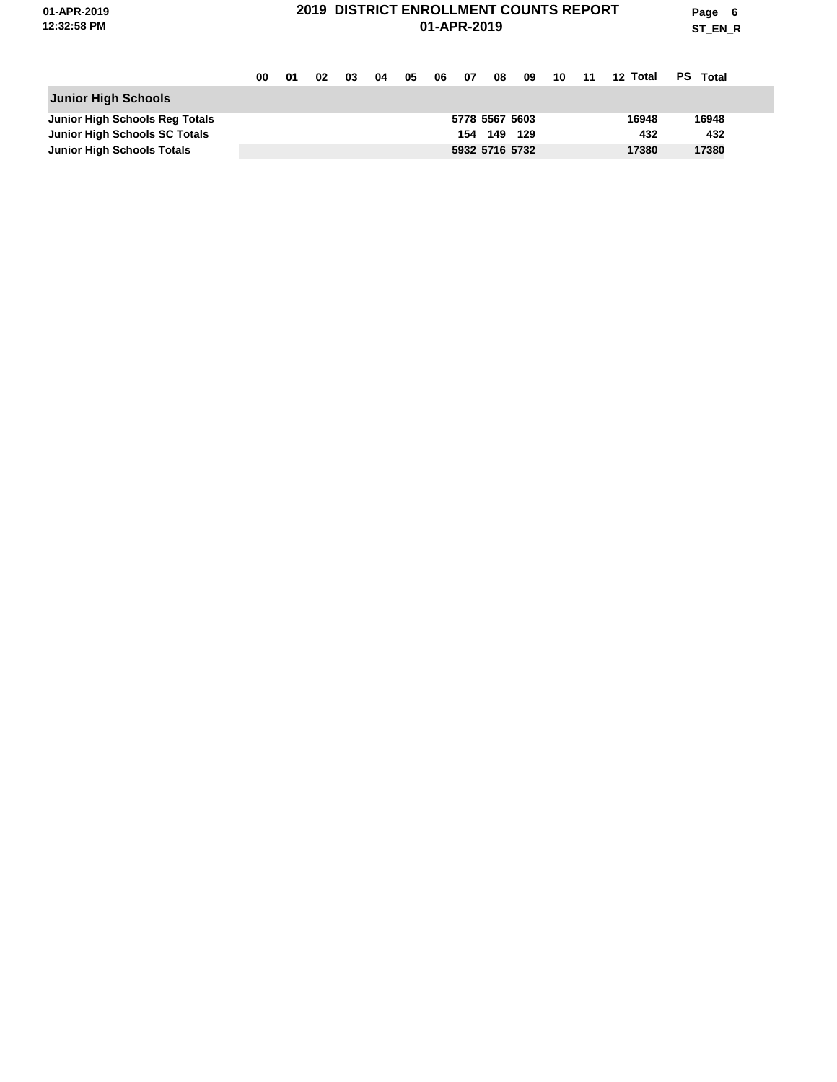**Page 6 ST\_EN\_R**

|                                      | 00 | 01 | 02 | 03 | 04 | 05 | 06 | - 07 | 08             | 09 | -10 | - 11 | 12 Total | PS.<br>Total |
|--------------------------------------|----|----|----|----|----|----|----|------|----------------|----|-----|------|----------|--------------|
| <b>Junior High Schools</b>           |    |    |    |    |    |    |    |      |                |    |     |      |          |              |
| Junior High Schools Reg Totals       |    |    |    |    |    |    |    |      | 5778 5567 5603 |    |     |      | 16948    | 16948        |
| <b>Junior High Schools SC Totals</b> |    |    |    |    |    |    |    |      | 154 149 129    |    |     |      | 432      | 432          |
| <b>Junior High Schools Totals</b>    |    |    |    |    |    |    |    |      | 5932 5716 5732 |    |     |      | 17380    | 17380        |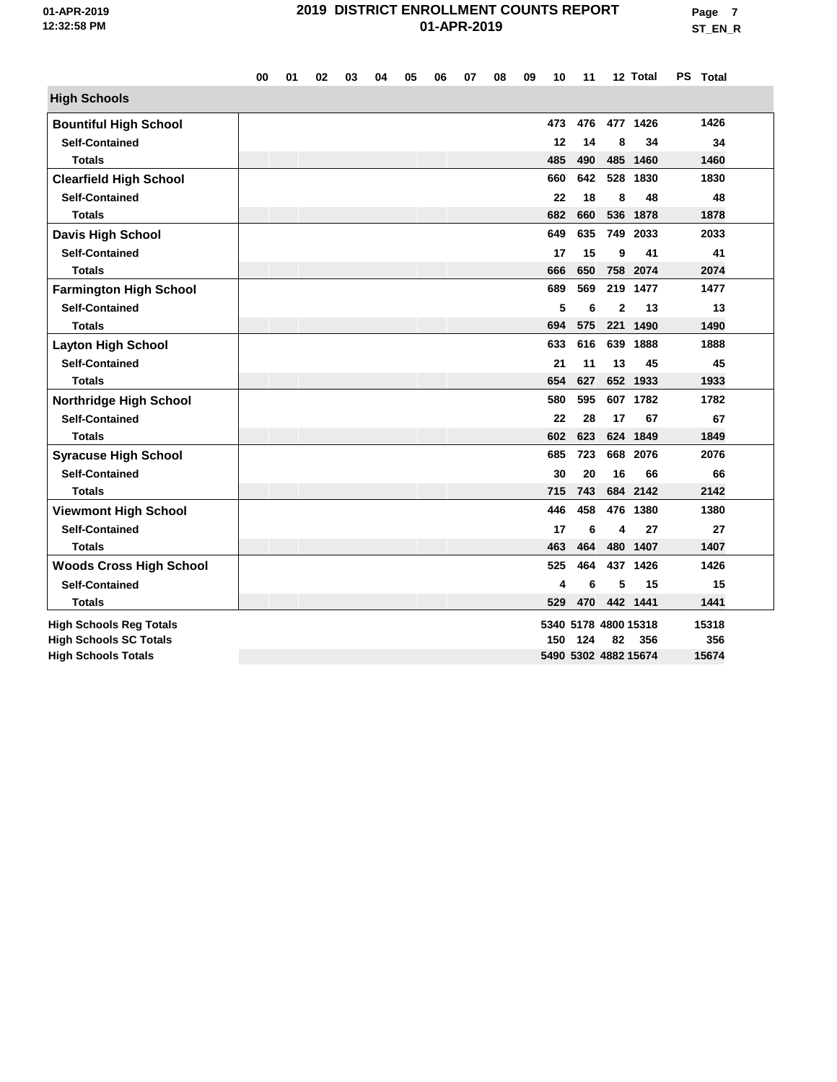|                                | 00 | 01 | 02 | 03 | 04 | 05 | 06 | 07 | 08 | 09 | 10  | 11  |              | 12 Total             | PS Total |  |
|--------------------------------|----|----|----|----|----|----|----|----|----|----|-----|-----|--------------|----------------------|----------|--|
| <b>High Schools</b>            |    |    |    |    |    |    |    |    |    |    |     |     |              |                      |          |  |
| <b>Bountiful High School</b>   |    |    |    |    |    |    |    |    |    |    | 473 | 476 |              | 477 1426             | 1426     |  |
| <b>Self-Contained</b>          |    |    |    |    |    |    |    |    |    |    | 12  | 14  | 8            | 34                   | 34       |  |
| <b>Totals</b>                  |    |    |    |    |    |    |    |    |    |    | 485 | 490 |              | 485 1460             | 1460     |  |
| <b>Clearfield High School</b>  |    |    |    |    |    |    |    |    |    |    | 660 | 642 |              | 528 1830             | 1830     |  |
| <b>Self-Contained</b>          |    |    |    |    |    |    |    |    |    |    | 22  | 18  | 8            | 48                   | 48       |  |
| <b>Totals</b>                  |    |    |    |    |    |    |    |    |    |    | 682 | 660 |              | 536 1878             | 1878     |  |
| <b>Davis High School</b>       |    |    |    |    |    |    |    |    |    |    | 649 | 635 |              | 749 2033             | 2033     |  |
| <b>Self-Contained</b>          |    |    |    |    |    |    |    |    |    |    | 17  | 15  | 9            | 41                   | 41       |  |
| <b>Totals</b>                  |    |    |    |    |    |    |    |    |    |    | 666 | 650 |              | 758 2074             | 2074     |  |
| <b>Farmington High School</b>  |    |    |    |    |    |    |    |    |    |    | 689 | 569 |              | 219 1477             | 1477     |  |
| <b>Self-Contained</b>          |    |    |    |    |    |    |    |    |    |    | 5   | 6   | $\mathbf{2}$ | 13                   | 13       |  |
| <b>Totals</b>                  |    |    |    |    |    |    |    |    |    |    | 694 | 575 |              | 221 1490             | 1490     |  |
| <b>Layton High School</b>      |    |    |    |    |    |    |    |    |    |    | 633 | 616 |              | 639 1888             | 1888     |  |
| <b>Self-Contained</b>          |    |    |    |    |    |    |    |    |    |    | 21  | 11  | 13           | 45                   | 45       |  |
| <b>Totals</b>                  |    |    |    |    |    |    |    |    |    |    | 654 | 627 |              | 652 1933             | 1933     |  |
| <b>Northridge High School</b>  |    |    |    |    |    |    |    |    |    |    | 580 | 595 |              | 607 1782             | 1782     |  |
| <b>Self-Contained</b>          |    |    |    |    |    |    |    |    |    |    | 22  | 28  | 17           | 67                   | 67       |  |
| <b>Totals</b>                  |    |    |    |    |    |    |    |    |    |    | 602 | 623 |              | 624 1849             | 1849     |  |
| <b>Syracuse High School</b>    |    |    |    |    |    |    |    |    |    |    | 685 | 723 |              | 668 2076             | 2076     |  |
| <b>Self-Contained</b>          |    |    |    |    |    |    |    |    |    |    | 30  | 20  | 16           | 66                   | 66       |  |
| <b>Totals</b>                  |    |    |    |    |    |    |    |    |    |    | 715 | 743 |              | 684 2142             | 2142     |  |
| <b>Viewmont High School</b>    |    |    |    |    |    |    |    |    |    |    | 446 | 458 |              | 476 1380             | 1380     |  |
| <b>Self-Contained</b>          |    |    |    |    |    |    |    |    |    |    | 17  | 6   | 4            | 27                   | 27       |  |
| <b>Totals</b>                  |    |    |    |    |    |    |    |    |    |    | 463 | 464 |              | 480 1407             | 1407     |  |
| <b>Woods Cross High School</b> |    |    |    |    |    |    |    |    |    |    | 525 | 464 |              | 437 1426             | 1426     |  |
| <b>Self-Contained</b>          |    |    |    |    |    |    |    |    |    |    | 4   | 6   | 5            | 15                   | 15       |  |
| <b>Totals</b>                  |    |    |    |    |    |    |    |    |    |    | 529 | 470 |              | 442 1441             | 1441     |  |
| <b>High Schools Reg Totals</b> |    |    |    |    |    |    |    |    |    |    |     |     |              | 5340 5178 4800 15318 | 15318    |  |
| <b>High Schools SC Totals</b>  |    |    |    |    |    |    |    |    |    |    | 150 | 124 | 82           | 356                  | 356      |  |
| <b>High Schools Totals</b>     |    |    |    |    |    |    |    |    |    |    |     |     |              | 5490 5302 4882 15674 | 15674    |  |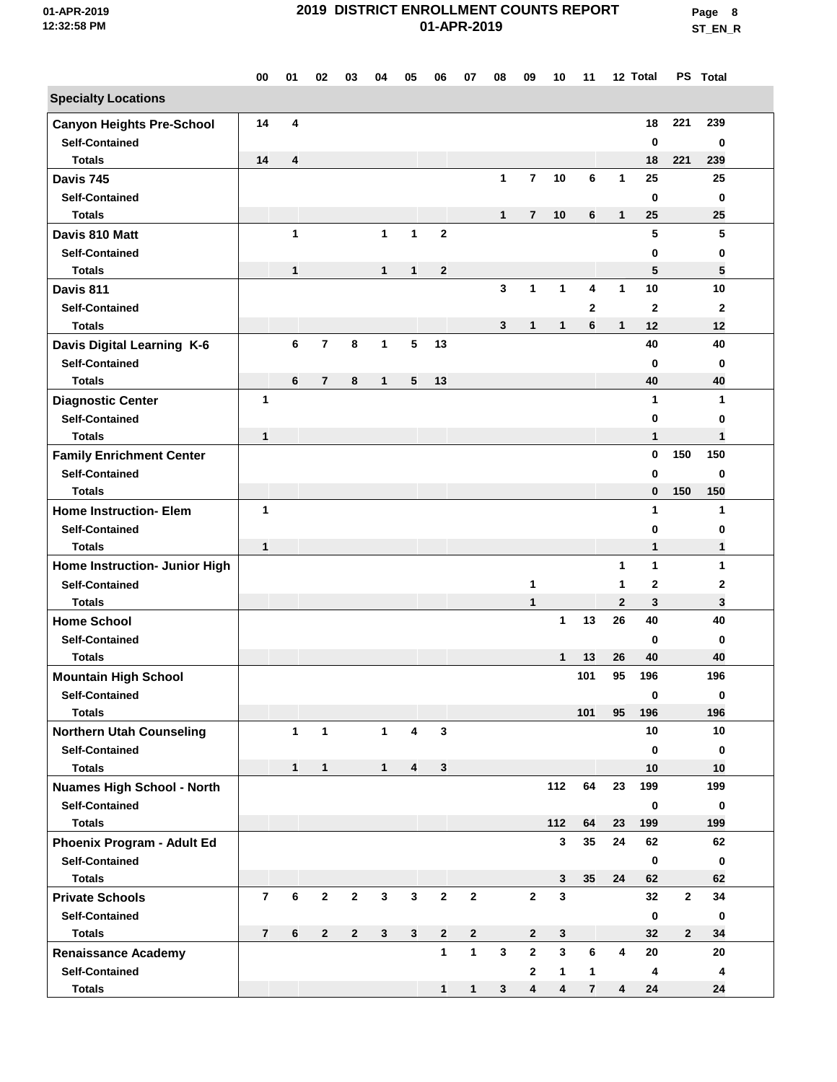**Page 8 ST\_EN\_R**

|                                        | 00             | 01           | 02             | 03           | 04           | 05             | 06           | 07           | 08           | 09             | 10                      | 11             |                         | 12 Total          |              | PS Total     |  |
|----------------------------------------|----------------|--------------|----------------|--------------|--------------|----------------|--------------|--------------|--------------|----------------|-------------------------|----------------|-------------------------|-------------------|--------------|--------------|--|
| <b>Specialty Locations</b>             |                |              |                |              |              |                |              |              |              |                |                         |                |                         |                   |              |              |  |
| <b>Canyon Heights Pre-School</b>       | 14             | 4            |                |              |              |                |              |              |              |                |                         |                |                         | 18                | 221          | 239          |  |
| <b>Self-Contained</b>                  |                |              |                |              |              |                |              |              |              |                |                         |                |                         | $\bf{0}$          |              | 0            |  |
| <b>Totals</b>                          | 14             | 4            |                |              |              |                |              |              |              |                |                         |                |                         | 18                | 221          | 239          |  |
| Davis 745                              |                |              |                |              |              |                |              |              | $\mathbf{1}$ | $\overline{7}$ | 10                      | 6              | $\mathbf{1}$            | 25                |              | 25           |  |
| <b>Self-Contained</b>                  |                |              |                |              |              |                |              |              |              |                |                         |                |                         | $\bf{0}$          |              | 0            |  |
| <b>Totals</b>                          |                |              |                |              |              |                |              |              | $\mathbf{1}$ | 7              | 10                      | 6              | $\mathbf{1}$            | 25                |              | 25           |  |
| Davis 810 Matt                         |                | $\mathbf{1}$ |                |              | $\mathbf{1}$ | $\mathbf{1}$   | $\mathbf{2}$ |              |              |                |                         |                |                         | 5                 |              | 5            |  |
| <b>Self-Contained</b>                  |                |              |                |              |              |                |              |              |              |                |                         |                |                         | 0                 |              | 0            |  |
| <b>Totals</b>                          |                | 1            |                |              | 1            | 1              | $\mathbf 2$  |              |              |                |                         |                |                         | 5                 |              | 5            |  |
| Davis 811                              |                |              |                |              |              |                |              |              | $\mathbf{3}$ | $\mathbf{1}$   | $\mathbf{1}$            | 4              | 1                       | 10                |              | 10           |  |
| <b>Self-Contained</b>                  |                |              |                |              |              |                |              |              |              |                |                         | $\mathbf{2}$   |                         | $\overline{2}$    |              | $\mathbf{2}$ |  |
| <b>Totals</b>                          |                |              |                |              |              |                |              |              | 3            | 1              | 1                       | 6              | $\mathbf{1}$            | 12                |              | 12           |  |
| Davis Digital Learning K-6             |                | 6            | $\overline{7}$ | 8            | 1            | 5              | 13           |              |              |                |                         |                |                         | 40                |              | 40           |  |
| <b>Self-Contained</b>                  |                |              |                |              |              |                |              |              |              |                |                         |                |                         | $\mathbf 0$       |              | $\mathbf 0$  |  |
| <b>Totals</b>                          |                | 6            | $\overline{7}$ | 8            | $\mathbf{1}$ | 5              | 13           |              |              |                |                         |                |                         | 40                |              | 40           |  |
| <b>Diagnostic Center</b>               | $\mathbf{1}$   |              |                |              |              |                |              |              |              |                |                         |                |                         | $\mathbf{1}$      |              | 1            |  |
| <b>Self-Contained</b>                  |                |              |                |              |              |                |              |              |              |                |                         |                |                         | $\mathbf 0$       |              | 0            |  |
| <b>Totals</b>                          | 1              |              |                |              |              |                |              |              |              |                |                         |                |                         | 1                 |              | 1            |  |
| <b>Family Enrichment Center</b>        |                |              |                |              |              |                |              |              |              |                |                         |                |                         | $\mathbf 0$       | 150          | 150          |  |
| <b>Self-Contained</b>                  |                |              |                |              |              |                |              |              |              |                |                         |                |                         | 0                 |              | $\bf{0}$     |  |
| <b>Totals</b>                          |                |              |                |              |              |                |              |              |              |                |                         |                |                         | $\bf{0}$          | 150          | 150          |  |
| <b>Home Instruction- Elem</b>          | 1              |              |                |              |              |                |              |              |              |                |                         |                |                         | 1                 |              | $\mathbf{1}$ |  |
| <b>Self-Contained</b>                  |                |              |                |              |              |                |              |              |              |                |                         |                |                         | 0                 |              | 0            |  |
| <b>Totals</b>                          | 1              |              |                |              |              |                |              |              |              |                |                         |                |                         | 1                 |              | $\mathbf{1}$ |  |
| Home Instruction- Junior High          |                |              |                |              |              |                |              |              |              |                |                         |                | 1                       | 1                 |              | 1            |  |
| <b>Self-Contained</b><br><b>Totals</b> |                |              |                |              |              |                |              |              |              | 1<br>1         |                         |                | 1<br>$\mathbf{2}$       | $\mathbf{2}$<br>3 |              | 2<br>3       |  |
| <b>Home School</b>                     |                |              |                |              |              |                |              |              |              |                | $\mathbf{1}$            | 13             | 26                      | 40                |              | 40           |  |
| <b>Self-Contained</b>                  |                |              |                |              |              |                |              |              |              |                |                         |                |                         | $\bf{0}$          |              | 0            |  |
| <b>Totals</b>                          |                |              |                |              |              |                |              |              |              |                | 1                       | 13             | 26                      | 40                |              | 40           |  |
| <b>Mountain High School</b>            |                |              |                |              |              |                |              |              |              |                |                         | 101            | 95                      | 196               |              | 196          |  |
| <b>Self-Contained</b>                  |                |              |                |              |              |                |              |              |              |                |                         |                |                         | 0                 |              | 0            |  |
| <b>Totals</b>                          |                |              |                |              |              |                |              |              |              |                |                         | 101            | 95                      | 196               |              | 196          |  |
| <b>Northern Utah Counseling</b>        |                | $\mathbf{1}$ | $\mathbf{1}$   |              | $\mathbf{1}$ | 4              | $\mathbf{3}$ |              |              |                |                         |                |                         | 10                |              | 10           |  |
| <b>Self-Contained</b>                  |                |              |                |              |              |                |              |              |              |                |                         |                |                         | 0                 |              | 0            |  |
| <b>Totals</b>                          |                | $\mathbf{1}$ | $\mathbf{1}$   |              | $\mathbf{1}$ | 4              | $\mathbf{3}$ |              |              |                |                         |                |                         | 10                |              | 10           |  |
| <b>Nuames High School - North</b>      |                |              |                |              |              |                |              |              |              |                | 112                     | 64             | 23                      | 199               |              | 199          |  |
| <b>Self-Contained</b>                  |                |              |                |              |              |                |              |              |              |                |                         |                |                         | 0                 |              | 0            |  |
| <b>Totals</b>                          |                |              |                |              |              |                |              |              |              |                | 112                     | 64             | 23                      | 199               |              | 199          |  |
| Phoenix Program - Adult Ed             |                |              |                |              |              |                |              |              |              |                | 3                       | 35             | 24                      | 62                |              | 62           |  |
| <b>Self-Contained</b>                  |                |              |                |              |              |                |              |              |              |                |                         |                |                         | $\mathbf 0$       |              | 0            |  |
| <b>Totals</b>                          |                |              |                |              |              |                |              |              |              |                | 3                       | 35             | 24                      | 62                |              | 62           |  |
| <b>Private Schools</b>                 | $\overline{7}$ | $\bf 6$      | $\mathbf{2}$   | $\mathbf{2}$ | $\mathbf{3}$ | $\mathbf{3}$   | $\mathbf{2}$ | $\mathbf{2}$ |              | $\mathbf{2}$   | 3                       |                |                         | 32                | $\mathbf{2}$ | 34           |  |
| <b>Self-Contained</b>                  |                |              |                |              |              |                |              |              |              |                |                         |                |                         | 0                 |              | 0            |  |
| <b>Totals</b>                          | $\overline{7}$ | 6            | $\mathbf{2}$   | $\mathbf{2}$ | $\mathbf{3}$ | 3 <sup>1</sup> | $\mathbf{2}$ | $\mathbf{2}$ |              | $\mathbf{2}$   | 3                       |                |                         | 32                | $\mathbf{2}$ | 34           |  |
| <b>Renaissance Academy</b>             |                |              |                |              |              |                | $\mathbf{1}$ | $\mathbf{1}$ | $\mathbf{3}$ | $\mathbf{2}$   | $\overline{\mathbf{3}}$ | 6              | $\overline{\mathbf{4}}$ | 20                |              | 20           |  |
| <b>Self-Contained</b>                  |                |              |                |              |              |                |              |              |              | $\mathbf{2}$   | $\mathbf{1}$            | $\mathbf{1}$   |                         | 4                 |              | 4            |  |
| <b>Totals</b>                          |                |              |                |              |              |                | 1            | $\mathbf{1}$ | 3            | 4              | 4                       | $\overline{7}$ | 4                       | 24                |              | 24           |  |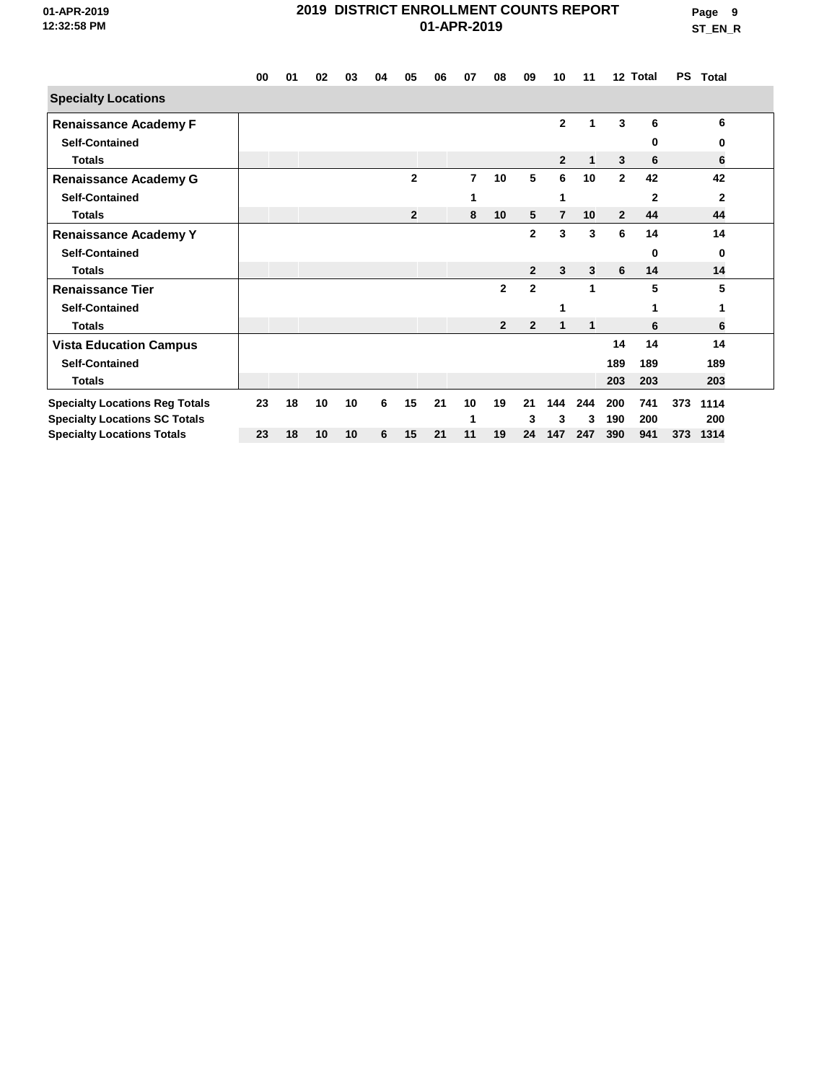**Page 9 ST\_EN\_R**

|                                       | 00 | 01 | 02              | 03 | 04 | 05             | 06 | 07             | 08             | 09             | 10             | 11           |                | 12 Total     | PS  | Total        |
|---------------------------------------|----|----|-----------------|----|----|----------------|----|----------------|----------------|----------------|----------------|--------------|----------------|--------------|-----|--------------|
| <b>Specialty Locations</b>            |    |    |                 |    |    |                |    |                |                |                |                |              |                |              |     |              |
| <b>Renaissance Academy F</b>          |    |    |                 |    |    |                |    |                |                |                | $\mathbf{2}$   | 1            | 3              | 6            |     | 6            |
| <b>Self-Contained</b>                 |    |    |                 |    |    |                |    |                |                |                |                |              |                | 0            |     | 0            |
| <b>Totals</b>                         |    |    |                 |    |    |                |    |                |                |                | $\mathbf{2}$   | $\mathbf 1$  | 3              | 6            |     | 6            |
| <b>Renaissance Academy G</b>          |    |    |                 |    |    | $\overline{2}$ |    | $\overline{7}$ | 10             | 5              | 6              | 10           | $\mathbf{2}$   | 42           |     | 42           |
| <b>Self-Contained</b>                 |    |    |                 |    |    |                |    | 1              |                |                |                |              |                | $\mathbf{2}$ |     | $\mathbf{2}$ |
| <b>Totals</b>                         |    |    |                 |    |    | $\overline{2}$ |    | 8              | 10             | 5              | $\overline{7}$ | 10           | $\overline{2}$ | 44           |     | 44           |
| <b>Renaissance Academy Y</b>          |    |    |                 |    |    |                |    |                |                | $\mathbf{2}$   | 3              | 3            | 6              | 14           |     | 14           |
| <b>Self-Contained</b>                 |    |    |                 |    |    |                |    |                |                |                |                |              |                | 0            |     | 0            |
| <b>Totals</b>                         |    |    |                 |    |    |                |    |                |                | $\mathbf{2}$   | 3              | 3            | 6              | 14           |     | 14           |
| <b>Renaissance Tier</b>               |    |    |                 |    |    |                |    |                | $\mathbf{2}$   | $\overline{2}$ |                | 1            |                | 5            |     | 5            |
| <b>Self-Contained</b>                 |    |    |                 |    |    |                |    |                |                |                |                |              |                |              |     |              |
| <b>Totals</b>                         |    |    |                 |    |    |                |    |                | $\overline{2}$ | $\overline{2}$ | 1              | $\mathbf{1}$ |                | 6            |     | 6            |
| <b>Vista Education Campus</b>         |    |    |                 |    |    |                |    |                |                |                |                |              | 14             | 14           |     | 14           |
| <b>Self-Contained</b>                 |    |    |                 |    |    |                |    |                |                |                |                |              | 189            | 189          |     | 189          |
| <b>Totals</b>                         |    |    |                 |    |    |                |    |                |                |                |                |              | 203            | 203          |     | 203          |
| <b>Specialty Locations Reg Totals</b> | 23 | 18 | 10              | 10 | 6  | 15             | 21 | 10             | 19             | 21             | 144            | 244          | 200            | 741          | 373 | 1114         |
| <b>Specialty Locations SC Totals</b>  |    |    |                 |    |    |                |    |                |                | 3              | 3              | 3            | 190            | 200          |     | 200          |
| <b>Specialty Locations Totals</b>     | 23 | 18 | 10 <sup>1</sup> | 10 | 6  | 15             | 21 | 11             | 19             | 24             | 147            | 247          | 390            | 941          | 373 | 1314         |